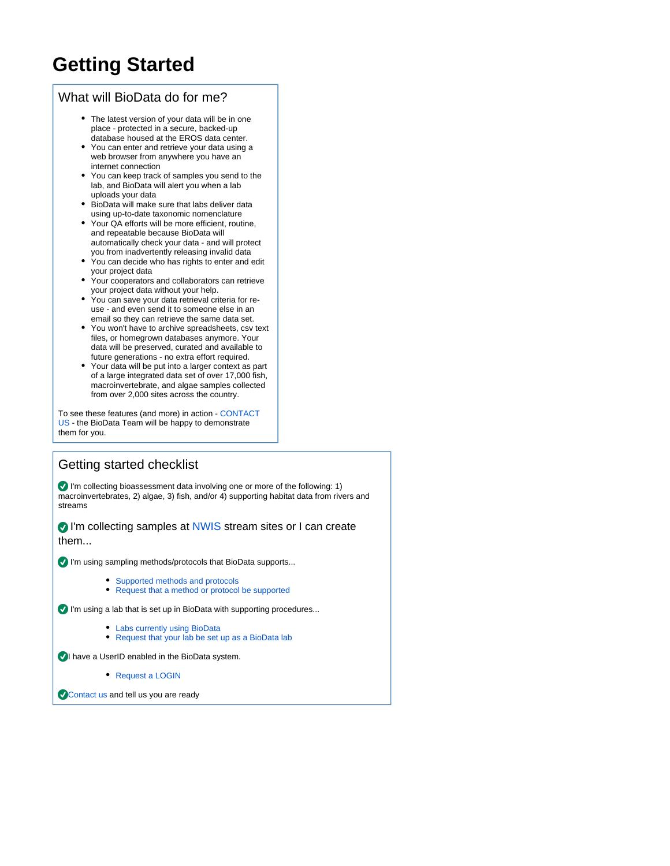## **Getting Started**

## What will BioData do for me?

- The latest version of your data will be in one place - protected in a secure, backed-up database housed at the EROS data center.
- You can enter and retrieve your data using a web browser from anywhere you have an internet connection
- You can keep track of samples you send to the lab, and BioData will alert you when a lab uploads your data
- BioData will make sure that labs deliver data using up-to-date taxonomic nomenclature
- Your QA efforts will be more efficient, routine, and repeatable because BioData will automatically check your data - and will protect you from inadvertently releasing invalid data
- You can decide who has rights to enter and edit your project data
- Your cooperators and collaborators can retrieve your project data without your help.
- You can save your data retrieval criteria for reuse - and even send it to someone else in an email so they can retrieve the same data set.
- You won't have to archive spreadsheets, csv text files, or homegrown databases anymore. Your data will be preserved, curated and available to future generations - no extra effort required.
- Your data will be put into a larger context as part of a large integrated data set of over 17,000 fish, macroinvertebrate, and algae samples collected from over 2,000 sites across the country.

To see these features (and more) in action - [CONTACT](https://internal.aquatic.biodata.usgs.gov/contactus.jsp?r=https://aquatic.biodata.usgs.gov/landing.action)  [US](https://internal.aquatic.biodata.usgs.gov/contactus.jsp?r=https://aquatic.biodata.usgs.gov/landing.action) - the BioData Team will be happy to demonstrate them for you.

## Getting started checklist

I'm collecting bioassessment data involving one or more of the following: 1) macroinvertebrates, 2) algae, 3) fish, and/or 4) supporting habitat data from rivers and streams

I'm collecting samples at [NWIS](http://waterdata.usgs.gov/nwis) stream sites or I can create them...

I'm using sampling methods/protocols that BioData supports...

- [Supported methods and protocols](https://my.usgs.gov/confluence/display/biodata/Supported+sample+collection+methods+and+protocols)
- [Request that a method or protocol be supported](https://internal.aquatic.biodata.usgs.gov/contactus.jsp)

I'm using a lab that is set up in BioData with supporting procedures...

- [Labs currently using BioData](https://internal.aquatic.biodata.usgs.gov/labinformation.jsp)
- [Request that your lab be set up as a BioData lab](https://my.usgs.gov/confluence/display/biodata/Getting+your+lab+set+up+to+use+BioData)

**I** have a UserID enabled in the BioData system.

[Request a LOGIN](https://internal.aquatic.biodata.usgs.gov/contactus.jsp?contactType=requestLogin)

[Contact us](https://internal.aquatic.biodata.usgs.gov/contactus.jsp) and tell us you are ready